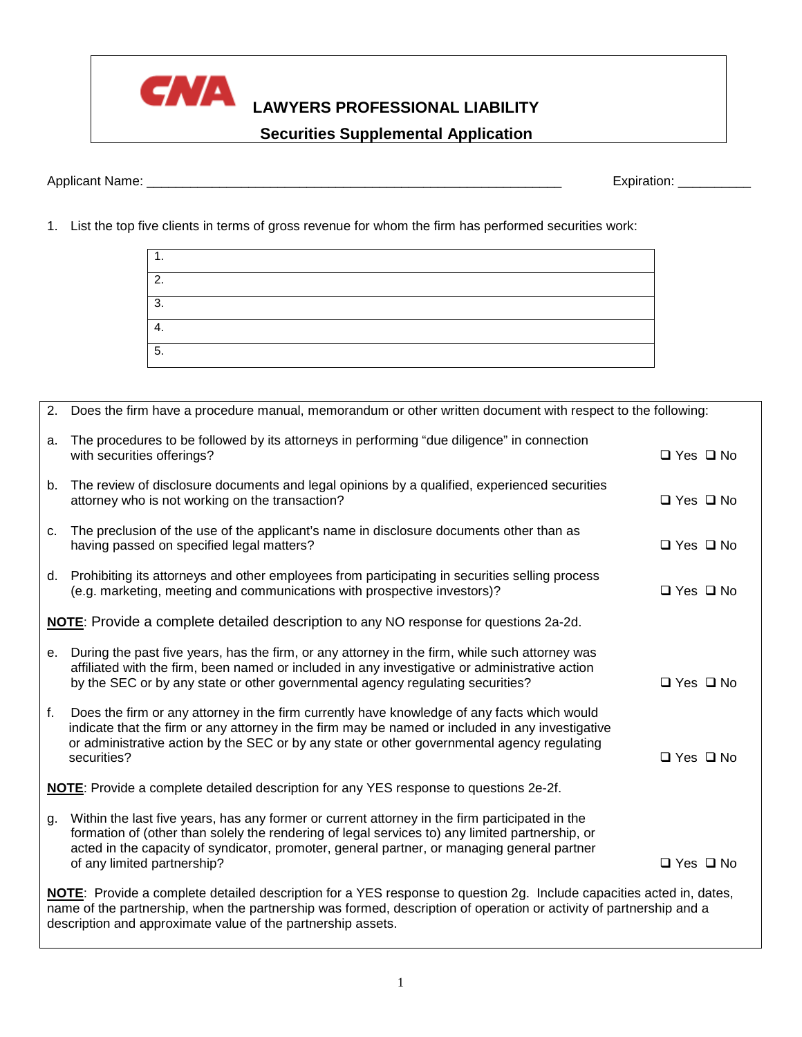description and approximate value of the partnership assets.

## **LAWYERS PROFESSIONAL LIABILITY**

## **Securities Supplemental Application**

Applicant Name: \_\_\_\_\_\_\_\_\_\_\_\_\_\_\_\_\_\_\_\_\_\_\_\_\_\_\_\_\_\_\_\_\_\_\_\_\_\_\_\_\_\_\_\_\_\_\_\_\_\_\_\_\_\_\_\_\_ Expiration: \_\_\_\_\_\_\_\_\_\_

1. List the top five clients in terms of gross revenue for whom the firm has performed securities work:

|    |                            | $\overline{5}$ .                                                                                                                                                                                                                                                                                                                |                      |
|----|----------------------------|---------------------------------------------------------------------------------------------------------------------------------------------------------------------------------------------------------------------------------------------------------------------------------------------------------------------------------|----------------------|
|    |                            |                                                                                                                                                                                                                                                                                                                                 |                      |
| 2. |                            | Does the firm have a procedure manual, memorandum or other written document with respect to the following:                                                                                                                                                                                                                      |                      |
| a. | with securities offerings? | The procedures to be followed by its attorneys in performing "due diligence" in connection                                                                                                                                                                                                                                      | $\Box$ Yes $\Box$ No |
| b. |                            | The review of disclosure documents and legal opinions by a qualified, experienced securities<br>attorney who is not working on the transaction?                                                                                                                                                                                 | $\Box$ Yes $\Box$ No |
| C. |                            | The preclusion of the use of the applicant's name in disclosure documents other than as<br>having passed on specified legal matters?                                                                                                                                                                                            | $\Box$ Yes $\Box$ No |
|    |                            | d. Prohibiting its attorneys and other employees from participating in securities selling process<br>(e.g. marketing, meeting and communications with prospective investors)?                                                                                                                                                   | $\Box$ Yes $\Box$ No |
|    |                            | NOTE: Provide a complete detailed description to any NO response for questions 2a-2d.                                                                                                                                                                                                                                           |                      |
| е. |                            | During the past five years, has the firm, or any attorney in the firm, while such attorney was<br>affiliated with the firm, been named or included in any investigative or administrative action<br>by the SEC or by any state or other governmental agency regulating securities?                                              | $\Box$ Yes $\Box$ No |
| f. | securities?                | Does the firm or any attorney in the firm currently have knowledge of any facts which would<br>indicate that the firm or any attorney in the firm may be named or included in any investigative<br>or administrative action by the SEC or by any state or other governmental agency regulating                                  | $\Box$ Yes $\Box$ No |
|    |                            | NOTE: Provide a complete detailed description for any YES response to questions 2e-2f.                                                                                                                                                                                                                                          |                      |
| g. |                            | Within the last five years, has any former or current attorney in the firm participated in the<br>formation of (other than solely the rendering of legal services to) any limited partnership, or<br>acted in the capacity of syndicator, promoter, general partner, or managing general partner<br>of any limited partnership? | $\Box$ Yes $\Box$ No |
|    |                            | NOTE: Provide a complete detailed description for a YES response to question 2g. Include capacities acted in, dates,<br>name of the partnership, when the partnership was formed, description of operation or activity of partnership and a                                                                                     |                      |

| CNA |
|-----|
|     |

1. 2. 3. 4.